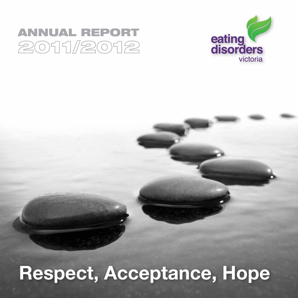## **ANNUAL REPORT** 2011/2012



# Respect, Acceptance, Hope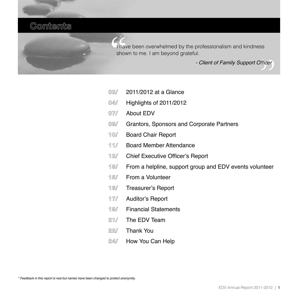### **Contents**

I have been overwhelmed by the professionalism and kindness shown to me. I am beyond grateful.

- Client of Family Support Officer

- **02/** 2011/2012 at a Glance
- **04/** Highlights of 2011/2012
- **07/** About EDV
- **09/** Grantors, Sponsors and Corporate Partners
- **10/** Board Chair Report
- **11/** Board Member Attendance
- **12/** Chief Executive Officer's Report
- **15/** From a helpline, support group and EDV events volunteer
- **15/** From a Volunteer
- **16/** Treasurer's Report
- **17/** Auditor's Report
- **19/** Financial Statements
- **21/** The EDV Team
- **22/** Thank You
- **24/** How You Can Help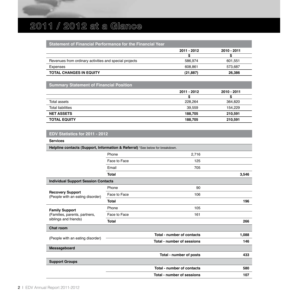### **2011 / 2012 at a Glance**

#### **Statement of Financial Performance for the Financial Year**

|                                                        | 2011 - 2012 | 2010 - 2011 |
|--------------------------------------------------------|-------------|-------------|
|                                                        |             |             |
| Revenues from ordinary activities and special projects | 586.974     | 601.551     |
| Expenses                                               | 608.861     | 573.687     |
| <b>TOTAL CHANGES IN EQUITY</b>                         | (21.887)    | 26.386      |

#### **Summary Statement of Financial Position**

|                          | 2011 - 2012 | 2010 - 2011 |
|--------------------------|-------------|-------------|
|                          |             |             |
| Total assets             | 228.264     | 364.820     |
| <b>Total liabilities</b> | 39.559      | 154,229     |
| <b>NET ASSETS</b>        | 188.705     | 210.591     |
| <b>TOTAL EQUITY</b>      | 188.705     | 210,591     |

#### **EDV Statistics for 2011 - 2012**

| Services                                                                        |              |                            |       |
|---------------------------------------------------------------------------------|--------------|----------------------------|-------|
| Helpline contacts (Support, Information & Referral) *See below for breakdown.   |              |                            |       |
|                                                                                 | Phone        | 2,716                      |       |
|                                                                                 | Face to Face | 125                        |       |
|                                                                                 | Email        | 705                        |       |
|                                                                                 | Total        |                            | 3,546 |
| <b>Individual Support Session Contacts</b>                                      |              |                            |       |
|                                                                                 | Phone        | 90                         |       |
| <b>Recovery Support</b><br>(People with an eating disorder)                     | Face to Face | 106                        |       |
|                                                                                 | Total        |                            | 196   |
| <b>Family Support</b><br>(Families, parents, partners,<br>siblings and friends) | Phone        | 105                        |       |
|                                                                                 | Face to Face | 161                        |       |
|                                                                                 | Total        |                            | 266   |
| Chat room                                                                       |              |                            |       |
|                                                                                 |              | Total - number of contacts | 1,088 |
| (People with an eating disorder)<br>Total - number of sessions                  |              | 146                        |       |
| Messageboard                                                                    |              |                            |       |
|                                                                                 |              | Total - number of posts    | 433   |
| <b>Support Groups</b>                                                           |              |                            |       |
|                                                                                 |              | Total - number of contacts | 580   |
|                                                                                 |              | Total - number of sessions | 107   |
|                                                                                 |              |                            |       |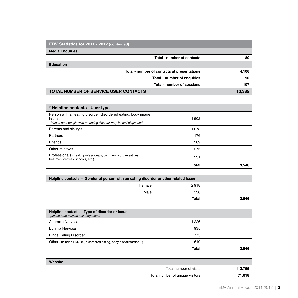| <b>EDV Statistics for 2011 - 2012 (continued)</b> |                                             |        |
|---------------------------------------------------|---------------------------------------------|--------|
| <b>Media Enguiries</b>                            |                                             |        |
|                                                   | Total - number of contacts                  | 80     |
| <b>Education</b>                                  |                                             |        |
|                                                   | Total - number of contacts at presentations | 4.106  |
|                                                   | Total - number of enquiries                 | 90     |
|                                                   | Total - number of sessions                  | 107    |
| <b>TOTAL NUMBER OF SERVICE USER CONTACTS</b>      |                                             | 10.385 |

| * Helpline contacts - User type                                                                    |       |       |
|----------------------------------------------------------------------------------------------------|-------|-------|
| Person with an eating disorder, disordered eating, body image<br>issues                            | 1,502 |       |
| *Please note people with an eating disorder may be self diagnosed.                                 |       |       |
| Parents and siblings                                                                               | 1.073 |       |
| Partners                                                                                           | 176   |       |
| Friends                                                                                            | 289   |       |
| Other relatives                                                                                    | 275   |       |
| Professionals (Health professionals, community organisations,<br>treatment centres, schools, etc.) | 231   |       |
|                                                                                                    | Total | 3.546 |

| Helpline contacts – Gender of person with an eating disorder or other related issue |              |       |
|-------------------------------------------------------------------------------------|--------------|-------|
| Female                                                                              | 2.918        |       |
| Male                                                                                | 538          |       |
|                                                                                     | <b>Total</b> | 3,546 |

| Helpline contacts - Type of disorder or issue<br>*please note may be self diagnosed. |       |       |
|--------------------------------------------------------------------------------------|-------|-------|
| Anorexia Nervosa                                                                     | 1.226 |       |
| Bulimia Nervosa                                                                      | 935   |       |
| <b>Binge Eating Disorder</b>                                                         | 775   |       |
| Other (includes EDNOS, disordered eating, body dissatisfaction)                      | 610   |       |
|                                                                                      | Total | 3.546 |

| Website |                                 |         |
|---------|---------------------------------|---------|
|         | Total number of visits          | 112,755 |
|         | Total number of unique visitors | 71.018  |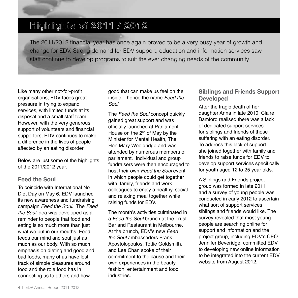### **Highlights of 2011 / 2012**

The 2011/2012 financial year has once again proved to be a very busy year of growth and change for EDV. Strong demand for EDV support, education and information services saw staff continue to develop programs to suit the ever changing needs of the community.

Like many other not-for-profit organisations, EDV faces great pressure in trying to expand services, with limited funds at its disposal and a small staff team. However, with the very generous support of volunteers and financial supporters, EDV continues to make a difference in the lives of people affected by an eating disorder.

Below are just some of the highlights of the 2011/2012 year.

#### **Feed the Soul**

To coincide with International No Diet Day on May 6, EDV launched its new awareness and fundraising campaign *Feed the Soul*. The *Feed the Soul* idea was developed as a reminder to people that food and eating is so much more than just what we put in our mouths. Food feeds our mind and soul just as much as our body. With so much emphasis on dieting and good and bad foods, many of us have lost track of simple pleasures around food and the role food has in connecting us to others and how

good that can make us feel on the inside – hence the name *Feed the Soul*.

The *Feed the Soul* concept quickly gained great support and was officially launched at Parliament House on the 2<sup>nd</sup> of May by the Minister for Mental Health, The Hon Mary Wooldridge and was attended by numerous members of parliament. Individual and group fundraisers were then encouraged to host their own *Feed the Soul* event, in which people could get together with family, friends and work colleagues to enjoy a healthy, social and relaxing meal together while raising funds for EDV.

The month's activities culminated in a *Feed the Soul* brunch at the Trust Bar and Restaurant in Melbourne. At the brunch, EDV's new *Feed the Soul* ambassadors Frank Apostolopoulos, Tottie Goldsmith, and Lee Chan spoke of their commitment to the cause and their own experiences in the beauty, fashion, entertainment and food industries.

#### **Siblings and Friends Support Developed**

After the tragic death of her daughter Anna in late 2010, Claire Bamford realised there was a lack of dedicated support services for siblings and friends of those suffering with an eating disorder. To address this lack of support, she joined together with family and friends to raise funds for EDV to develop support services specifically for youth aged 12 to 25 year olds.

A Siblings and Friends project group was formed in late 2011 and a survey of young people was conducted in early 2012 to ascertain what sort of support services siblings and friends would like. The survey revealed that most young people are searching online for support and information and the project group, including EDV's CEO Jennifer Beveridge, committed EDV to developing new online information to be integrated into the current EDV website from August 2012.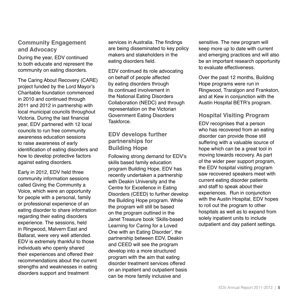#### **Community Engagement and Advocacy**

During the year, EDV continued to both educate and represent the community on eating disorders.

The Caring About Recovery (CARE) project funded by the Lord Mayor's Charitable foundation commenced in 2010 and continued through 2011 and 2012 in partnership with local municipal councils throughout Victoria. During the last financial year, EDV partnered with 12 local councils to run free community awareness education sessions to raise awareness of early identification of eating disorders and how to develop protective factors against eating disorders.

Early in 2012, EDV held three community information sessions called Giving the Community a Voice, which were an opportunity for people with a personal, family or professional experience of an eating disorder to share information regarding their eating disorders experience. The sessions, held in Ringwood, Malvern East and Ballarat, were very well attended. EDV is extremely thankful to those individuals who openly shared their experiences and offered their recommendations about the current strengths and weaknesses in eating disorders support and treatment

services in Australia. The findings are being disseminated to key policy makers and stakeholders in the eating disorders field.

EDV continued its role advocating on behalf of people affected by eating disorders through its continued involvement in the National Eating Disorders Collaboration (NEDC) and through representation on the Victorian Government Eating Disorders Taskforce.

#### **EDV develops further partnerships for Building Hope**

Following strong demand for EDV's skills based family education program Building Hope, EDV has recently undertaken a partnership with Deakin University and the Centre for Excellence in Eating Disorders (CEED) to further develop the Building Hope program. While the program will still be based on the program outlined in the Janet Treasure book 'Skills-based Learning for Caring for a Loved One with an Eating Disorder', the partnership between EDV, Deakin and CEED will see the program develop into a more structured program with the aim that eating disorder treatment services offered on an inpatient and outpatient basis can be more family inclusive and

sensitive. The new program will keep more up to date with current and emerging practices and will also be an important research opportunity to evaluate effectiveness.

Over the past 12 months, Building Hope programs were run in Ringwood, Traralgon and Frankston, and at Kew in conjunction with the Austin Hospital BETR's program.

#### **Hospital Visiting Program**

EDV recognises that a person who has recovered from an eating disorder can provide those still suffering with a valuable source of hope which can be a great tool in moving towards recovery. As part of the wider peer support program, the EDV hospital visiting program saw recovered speakers meet with current eating disorder patients and staff to speak about their experiences. Run in conjunction with the Austin Hospital, EDV hopes to roll out the program to other hospitals as well as to expand from solely inpatient units to include outpatient and day patient settings.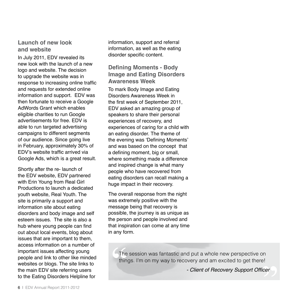#### **Launch of new look and website**

In July 2011, EDV revealed its new look with the launch of a new logo and website. The decision to upgrade the website was in response to increasing online traffic and requests for extended online information and support. EDV was then fortunate to receive a Google AdWords Grant which enables eligible charities to run Google advertisements for free. EDV is able to run targeted advertising campaigns to different segments of our audience. Since going live in February, approximately 30% of EDV's website traffic arrived via Google Ads, which is a great result.

Shortly after the re- launch of the EDV website, EDV partnered with Erin Young from Real Girl Productions to launch a dedicated youth website, Real Youth. The site is primarily a support and information site about eating disorders and body image and self esteem issues. The site is also a hub where young people can find out about local events, blog about issues that are important to them, access information on a number of important issues affecting young people and link to other like minded websites or blogs. The site links to the main EDV site referring users to the Eating Disorders Helpline for

information, support and referral information, as well as the eating disorder specific content.

#### **Defining Moments - Body Image and Eating Disorders Awareness Week**

To mark Body Image and Eating Disorders Awareness Week in the first week of September 2011, EDV asked an amazing group of speakers to share their personal experiences of recovery, and experiences of caring for a child with an eating disorder. The theme of the evening was 'Defining Moments' and was based on the concept that a defining moment, big or small, where something made a difference and inspired change is what many people who have recovered from eating disorders can recall making a huge impact in their recovery.

The overall response from the night was extremely positive with the message being that recovery is possible, the journey is as unique as the person and people involved and that inspiration can come at any time in any form.

> The session was fantastic and put a whole new perspective on things. I'm on my way to recovery and am excited to get there!

> > - Client of Recovery Support Officer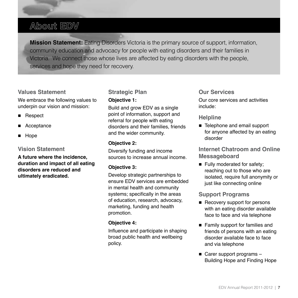### **About EDV**

**Mission Statement:** Eating Disorders Victoria is the primary source of support, information, community education and advocacy for people with eating disorders and their families in Victoria. We connect those whose lives are affected by eating disorders with the people, services and hope they need for recovery.

#### **Values Statement**

We embrace the following values to underpin our vision and mission:

- Respect
- Acceptance
- Hope

#### **Vision Statement**

**A future where the incidence, duration and impact of all eating disorders are reduced and ultimately eradicated.**

#### **Strategic Plan**

#### **Objective 1:**

Build and grow EDV as a single point of information, support and referral for people with eating disorders and their families, friends and the wider community.

#### **Objective 2:**

Diversify funding and income sources to increase annual income.

#### **Objective 3:**

Develop strategic partnerships to ensure EDV services are embedded in mental health and community systems; specifically in the areas of education, research, advocacy, marketing, funding and health promotion.

#### **Objective 4:**

Influence and participate in shaping broad public health and wellbeing policy.

#### **Our Services**

Our core services and activities include:

#### **Helpline**

■ Telephone and email support for anyone affected by an eating disorder

**Internet Chatroom and Online Messageboard**

 $\blacksquare$  Fully moderated for safety; reaching out to those who are isolated, require full anonymity or just like connecting online

#### **Support Programs**

- Recovery support for persons with an eating disorder available face to face and via telephone
- Family support for families and friends of persons with an eating disorder available face to face and via telephone
- $\blacksquare$  Carer support programs Building Hope and Finding Hope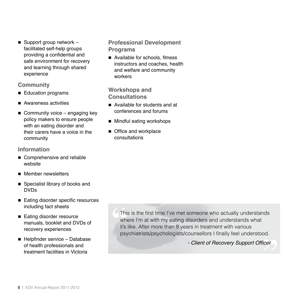■ Support group network  $$ facilitated self-help groups providing a confidential and safe environment for recovery and learning through shared experience

#### **Community**

- Education programs
- Awareness activities
- $\blacksquare$  Community voice engaging key policy makers to ensure people with an eating disorder and their carers have a voice in the community

#### **Information**

- Comprehensive and reliable website
- Member newsletters
- Specialist library of books and DVDs
- Eating disorder specific resources including fact sheets
- Eating disorder resource manuals, booklet and DVDs of recovery experiences
- Helpfinder service Database of health professionals and treatment facilities in Victoria

#### **Professional Development Programs**

■ Available for schools, fitness instructors and coaches, health and welfare and community workers

#### **Workshops and Consultations**

- Available for students and at conferences and forums
- $\blacksquare$  Mindful eating workshops
- Office and workplace consultations

This is the first time I've met someone who actually understands where I'm at with my eating disorders and understands what it's like. After more than 8 years in treatment with various psychiatrists/psychologists/counsellors I finally feel understood.

- Client of Recovery Support Officer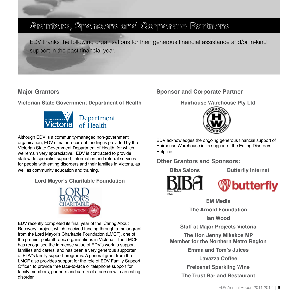### **Grantors, Sponsors and Corporate Partners**

EDV thanks the following organisations for their generous financial assistance and/or in-kind support in the past financial year.

#### **Major Grantors**

**Victorian State Government Department of Health**



Although EDV is a community-managed non-government organisation, EDV's major recurrent funding is provided by the Victorian State Government Department of Health, for which we remain very appreciative. EDV is contracted to provide statewide specialist support, information and referral services for people with eating disorders and their families in Victoria, as well as community education and training.

**Lord Mayor's Charitable Foundation**



EDV recently completed its final year of the 'Caring About Recovery' project, which received funding through a major grant from the Lord Mayor's Charitable Foundation (LMCF), one of the premier philanthropic organisations in Victoria. The LMCF has recognised the immense value of EDV's work to support families and carers, and has been a very generous supporter of EDV's family support programs. A general grant from the LMCF also provides support for the role of EDV Family Support Officer, to provide free face-to-face or telephone support for family members, partners and carers of a person with an eating disorder.

#### **Sponsor and Corporate Partner**

**Hairhouse Warehouse Pty Ltd**



EDV acknowledges the ongoing generous financial support of Hairhouse Warehouse in its support of the Eating Disorders Helpline.

#### **Other Grantors and Sponsors:**

**Biba Salons Butterfly Internet**



butterfly

**EM Media**

**The Arnold Foundation**

**Ian Wood**

**Staff at Major Projects Victoria**

**The Hon Jenny Mikakos MP Member for the Northern Metro Region**

**Emma and Tom's Juices**

**Lavazza Coffee**

**Freixenet Sparkling Wine** 

**The Trust Bar and Restaurant**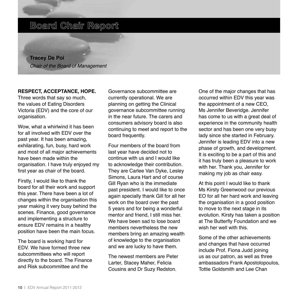### **Board Chair Report**

**Tracey De Poi** *Chair of the Board of Management*

#### **RESPECT, ACCEPTANCE, HOPE.**

Three words that say so much, the values of Eating Disorders Victoria (EDV) and the core of our organisation.

Wow, what a whirlwind it has been for all involved with EDV over the past year. It has been amazing, exhilarating, fun, busy, hard work and most of all major achievements have been made within the organisation. I have truly enjoyed my first year as chair of the board.

Firstly, I would like to thank the board for all their work and support this year. There have been a lot of changes within the organisation this year making it very busy behind the scenes. Finance, good governance and implementing a structure to ensure EDV remains in a healthy position have been the main focus.

The board is working hard for EDV. We have formed three new subcommittees who will report directly to the board. The Finance and Risk subcommittee and the

Governance subcommittee are currently operational. We are planning on getting the Clinical governance subcommittee running in the near future. The carers and consumers advisory board is also continuing to meet and report to the board frequently.

Four members of the board from last year have decided not to continue with us and I would like to acknowledge their contribution. They are Carlee Van Dyke, Lesley Simons, Laura Hart and of course Gill Ryan who is the immediate past president. I would like to once again specially thank Gill for all her work on the board over the past 5 years and for being a wonderful mentor and friend, I still miss her. We have been sad to lose board members nevertheless the new members bring an amazing wealth of knowledge to the organisation and we are lucky to have them.

The newest members are Peter Larter, Stacey Maher, Felicia Cousins and Dr Suzy Redston.

One of the major changes that has occurred within EDV this year was the appointment of a new CEO, Ms Jennifer Beveridge. Jennifer has come to us with a great deal of experience in the community health sector and has been one very busy lady since she started in February. Jennifer is leading EDV into a new phase of growth, and development. It is exciting to be a part of this and it has truly been a pleasure to work with her. Thank you, Jennifer for making my job as chair easy.

At this point I would like to thank Ms Kirsty Greenwood our previous EO for all her hard work and leaving the organisation in a good position to move to the next stage in its evolution. Kirsty has taken a position at The Butterfly Foundation and we wish her well with this.

Some of the other achievements and changes that have occurred include Prof. Fiona Judd joining us as our patron, as well as three ambassadors Frank Apostolopoulos, Tottie Goldsmith and Lee Chan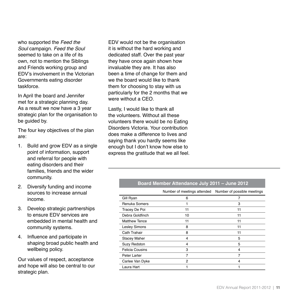who supported the *Feed the Soul* campaign. *Feed the Soul* seemed to take on a life of its own, not to mention the Siblings and Friends working group and EDV's involvement in the Victorian Governments eating disorder taskforce.

In April the board and Jennifer met for a strategic planning day. As a result we now have a 3 year strategic plan for the organisation to be guided by.

The four key objectives of the plan are:

- 1. Build and grow EDV as a single point of information, support and referral for people with eating disorders and their families, friends and the wider community.
- 2. Diversify funding and income sources to increase annual income.
- 3. Develop strategic partnerships to ensure EDV services are embedded in mental health and community systems.
- 4. Influence and participate in shaping broad public health and wellbeing policy.

Our values of respect, acceptance and hope will also be central to our strategic plan.

EDV would not be the organisation it is without the hard working and dedicated staff. Over the past year they have once again shown how invaluable they are. It has also been a time of change for them and we the board would like to thank them for choosing to stay with us particularly for the 2 months that we were without a CEO.

Lastly, I would like to thank all the volunteers. Without all these volunteers there would be no Eating Disorders Victoria. Your contribution does make a difference to lives and saying thank you hardly seems like enough but I don't know how else to express the gratitude that we all feel.

#### **Board Member Attendance July 2011 – June 2012**

|                        | Number of meetings attended | Number of possible meetings |
|------------------------|-----------------------------|-----------------------------|
| Gill Ryan              | 6                           | 7                           |
| <b>Renuka Somers</b>   | 1                           | 3                           |
| Tracey De Poi          | 11                          | 11                          |
| Debra Goldfinch        | 10                          | 11                          |
| <b>Matthew Tence</b>   | 11                          | 11                          |
| <b>Lesley Simons</b>   | 8                           | 11                          |
| Cath Trahair           | 8                           | 11                          |
| <b>Stacey Maher</b>    | 4                           | 5                           |
| <b>Suzy Redston</b>    | 4                           | 5                           |
| <b>Felicia Cousins</b> | 3                           | 4                           |
| Peter Larter           | 7                           |                             |
| Carlee Van Dyke        | $\overline{2}$              | 4                           |
| Laura Hart             |                             |                             |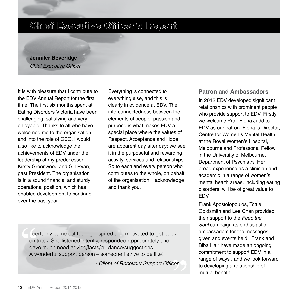### **Chief Executive Officer's Report**

**Jennifer Beveridge** Chief Executive Officer

It is with pleasure that I contribute to the EDV Annual Report for the first time. The first six months spent at Eating Disorders Victoria have been challenging, satisfying and very enjoyable. Thanks to all who have welcomed me to the organisation and into the role of CEO. I would also like to acknowledge the achievements of EDV under the leadership of my predecessor, Kirsty Greenwood and Gill Ryan, past President. The organisation is in a sound financial and sturdy operational position, which has enabled development to continue over the past year.

Everything is connected to everything else, and this is clearly in evidence at EDV. The interconnectedness between the elements of people, passion and purpose is what makes EDV a special place where the values of Respect, Acceptance and Hope are apparent day after day: we see it in the purposeful and rewarding activity, services and relationships. So to each and every person who contributes to the whole, on behalf of the organisation, I acknowledge and thank you.

#### **Patron and Ambassadors**

In 2012 EDV developed significant relationships with prominent people who provide support to EDV. Firstly we welcome Prof. Fiona Judd to EDV as our patron. Fiona is Director, Centre for Women's Mental Health at the Royal Women's Hospital, Melbourne and Professorial Fellow in the University of Melbourne, Department of Psychiatry. Her broad experience as a clinician and academic in a range of women's mental health areas, including eating disorders, will be of great value to EDV.

Frank Apostolopoulos, Tottie Goldsmith and Lee Chan provided their support to the *Feed the Soul* campaign as enthusiastic ambassadors for the messages given and events held. Frank and Biba Hair have made an ongoing commitment to support EDV in a range of ways , and we look forward to developing a relationship of mutual benefit.

I certainly came out feeling inspired and motivated to get back on track. She listened intently, responded appropriately and gave much need advice/facts/guidance/suggestions. A wonderful support person – someone I strive to be like!

- Client of Recovery Support Officer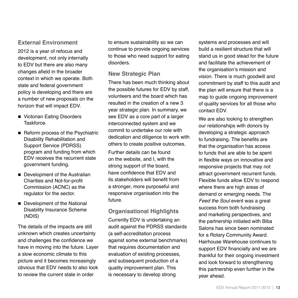#### **External Environment**

2012 is a year of refocus and development, not only internally to EDV but there are also many changes afield in the broader context in which we operate. Both state and federal government policy is developing and there are a number of new proposals on the horizon that will impact EDV.

- Victorian Eating Disorders Taskforce.
- Reform process of the Psychiatric Disability Rehabilitation and Support Service (PDRSS) program and funding from which EDV receives the recurrent state government funding.
- Development of the Australian Charities and Not-for-profit Commission (ACNC) as the regulator for the sector.
- Development of the National Disability Insurance Scheme (NDIS)

The details of the impacts are still unknown which creates uncertainty and challenges the confidence we have in moving into the future. Layer a slow economic climate to this picture and it becomes increasingly obvious that EDV needs to also look to review the current state in order

to ensure sustainability so we can continue to provide ongoing services to those who need support for eating disorders.

#### **New Strategic Plan**

There has been much thinking about the possible futures for EDV by staff, volunteers and the board which has resulted in the creation of a new 3 year strategic plan. In summary, we see EDV as a core part of a larger interconnected system and we commit to undertake our role with dedication and diligence to work with others to create positive outcomes.

Further details can be found on the website, and I, with the strong support of the board, have confidence that EDV and its stakeholders will benefit from a stronger, more purposeful and responsive organisation into the future.

#### **Organisational Highlights**

Currently EDV is undertaking an audit against the PDRSS standards (a self-accreditation process against some external benchmarks) that requires documentation and evaluation of existing processes, and subsequent production of a quality improvement plan. This is necessary to develop strong

systems and processes and will build a resilient structure that will stand us in good stead for the future and facilitate the achievement of the organisation's mission and vision. There is much goodwill and commitment by staff to this audit and the plan will ensure that there is a map to guide ongoing improvement of quality services for all those who contact EDV.

We are also looking to strengthen our relationships with donors by developing a strategic approach to fundraising. The benefits are that the organisation has access to funds that are able to be spent in flexible ways on innovative and responsive projects that may not attract government recurrent funds. Flexible funds allow EDV to respond where there are high areas of demand or emerging needs. The *Feed the Soul* event was a great success from both fundraising and marketing perspectives, and the partnership initiated with Biba Salons has since been nominated for a Rotary Community Award. Hairhouse Warehouse continues to support EDV financially and we are thankful for their ongoing investment and look forward to strengthening this partnership even further in the year ahead.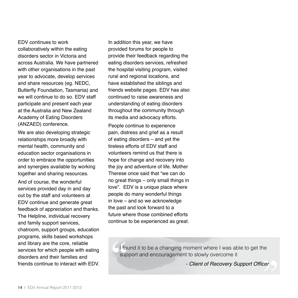EDV continues to work collaboratively within the eating disorders sector in Victoria and across Australia. We have partnered with other organisations in the past year to advocate, develop services and share resources (eg. NEDC, Butterfly Foundation, Tasmania) and we will continue to do so. EDV staff participate and present each year at the Australia and New Zealand Academy of Eating Disorders (ANZAED) conference.

We are also developing strategic relationships more broadly with mental health, community and education sector organisations in order to embrace the opportunities and synergies available by working together and sharing resources.

And of course, the wonderful services provided day in and day out by the staff and volunteers at EDV continue and generate great feedback of appreciation and thanks. The Helpline, individual recovery and family support services, chatroom, support groups, education programs, skills based workshops and library are the core, reliable services for which people with eating disorders and their families and friends continue to interact with EDV. In addition this year, we have provided forums for people to provide their feedback regarding the eating disorders services, refreshed the hospital visiting program, visited rural and regional locations, and have established the siblings and friends website pages. EDV has also continued to raise awareness and understanding of eating disorders throughout the community through its media and advocacy efforts.

People continue to experience pain, distress and grief as a result of eating disorders – and yet the tireless efforts of EDV staff and volunteers remind us that there is hope for change and recovery into the joy and adventure of life. Mother Therese once said that "we can do no great things – only small things in love". EDV is a unique place where people do many wonderful things in love – and so we acknowledge the past and look forward to a future where those combined efforts continue to be experienced as great.

> I found it to be a changing moment where I was able to get the support and encouragement to slowly overcome it

> > - Client of Recovery Support Officer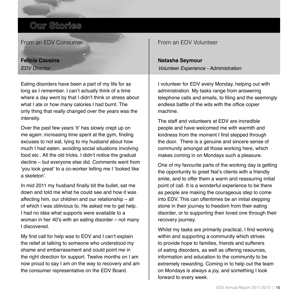**Our Stories**

From an EDV Consumer

#### **Felicia Cousins** *EDV Director*

Eating disorders have been a part of my life for as long as I remember. I can't actually think of a time where a day went by that I didn't think or stress about what I ate or how many calories I had burnt. The only thing that really changed over the years was the intensity.

Over the past few years 'it' has slowly crept up on me again: increasing time spent at the gym, finding excuses to not eat, lying to my husband about how much I had eaten, avoiding social situations involving food etc . All the old tricks. I didn't notice the gradual decline – but everyone else did. Comments went from 'you look great' to a co-worker telling me I 'looked like a skeleton'.

In mid 2011 my husband finally bit the bullet, sat me down and told me what he could see and how it was affecting him, our children and our relationship – all of which I was oblivious to. He asked me to get help. I had no idea what supports were available to a woman in her 40's with an eating disorder – not many I discovered.

My first call for help was to EDV and I can't explain the relief at talking to someone who understood my shame and embarrassment and could point me in the right direction for support. Twelve months on I am now proud to say I am on the way to recovery and am the consumer representative on the EDV Board.

From an EDV Volunteer

#### **Natasha Seymour** *Volunteer Experience - Administration*

I volunteer for EDV every Monday, helping out with administration. My tasks range from answering telephone calls and emails, to filing and the seemingly endless battle of the wits with the office copier machine.

The staff and volunteers at EDV are incredible people and have welcomed me with warmth and kindness from the moment I first stepped through the door. There is a genuine and sincere sense of community amongst all those working here, which makes coming in on Mondays such a pleasure.

One of my favourite parts of the working day is getting the opportunity to greet Nat's clients with a friendly smile, and to offer them a warm and reassuring initial point of call. It is a wonderful experience to be there as people are making the courageous step to come into EDV. This can oftentimes be an initial stepping stone in their journey to freedom from their eating disorder, or to supporting their loved one through their recovery journey.

Whilst my tasks are primarily practical, I find working within and supporting a community which strives to provide hope to families, friends and sufferers of eating disorders, as well as offering resources, information and education to the community to be extremely rewarding. Coming in to help out the team on Mondays is always a joy, and something I look forward to every week.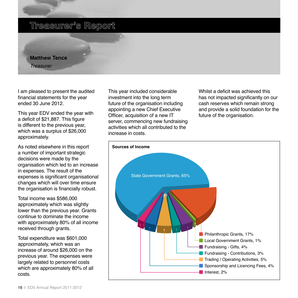### **Treasurer's Report**

**Matthew Tence** *Treasurer*

I am pleased to present the audited financial statements for the year ended 30 June 2012.

This year EDV ended the year with a deficit of \$21,887. This figure is different to the previous year, which was a surplus of \$26,000 approximately.

As noted elsewhere in this report a number of important strategic decisions were made by the organisation which led to an increase in expenses. The result of the expenses is significant organisational changes which will over time ensure the organisation is financially robust.

Total income was \$586,000 approximately which was slightly lower than the previous year. Grants continue to dominate the income with approximately 80% of all income received through grants.

Total expenditure was \$601,000 approximately, which was an increase of around \$26,000 on the previous year. The expenses were largely related to personnel costs which are approximately 80% of all costs.

This year included considerable investment into the long term future of the organisation including appointing a new Chief Executive Officer, acquisition of a new IT server, commencing new fundraising activities which all contributed to the increase in costs.

Whilst a deficit was achieved this has not impacted significantly on our cash reserves which remain strong and provide a solid foundation for the future of the organisation.

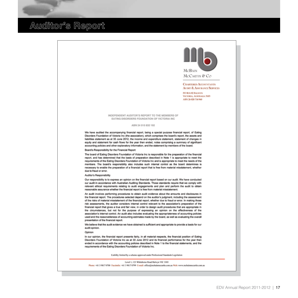### **Auditor's Report**

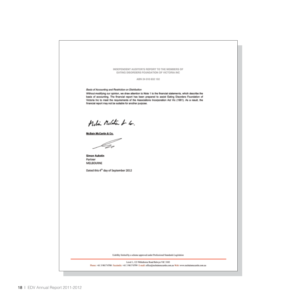INDEPENDENT AUDITOR'S REPORT TO THE MEMBERS OF EATING DISORDERS FOUNDATION OF VICTORIA INC.

ABN 24 010 832 192

Basis of Accounting and Restriction on Distribution

Without modifying our opinion, we draw attention to Note 1 to the financial statements, which describe the basis of accounting. The financial report has been prepared to assist Eating Disorders Foundation of Victoria Inc to meet the requirements of the Associations Incorporation Act Vic (1981). As a result, the financial report may not be suitable for another purpose.

Meli Melitar & 6.

**McBain McCartin & Co.** 

**Simon Aukstin** Partner **MELBOURNE** 

Dated this 4<sup>th</sup> day of September 2012

Liability limited by a scheme approved under Professional Standards Legislation

Level 1, 123 Whitehorse Road Balwyn VIC 3103

Phone: +61 3 9817 0700 Facsimile: +61 3 9817 0799 E-mail: office@mcbainmecartin.com.au Web: www.mcbainmecartin.com.au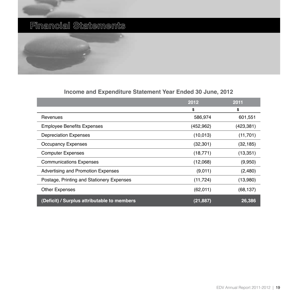### **Financial Statements**



#### **Income and Expenditure Statement Year Ended 30 June, 2012**

|                                             | 2012       | 2011       |
|---------------------------------------------|------------|------------|
|                                             | \$         | \$         |
| Revenues                                    | 586,974    | 601,551    |
| <b>Employee Benefits Expenses</b>           | (452, 962) | (423, 381) |
| <b>Depreciation Expenses</b>                | (10, 013)  | (11, 701)  |
| <b>Occupancy Expenses</b>                   | (32, 301)  | (32, 185)  |
| <b>Computer Expenses</b>                    | (18, 771)  | (13, 351)  |
| <b>Communications Expenses</b>              | (12,068)   | (9,950)    |
| Advertising and Promotion Expenses          | (9,011)    | (2,480)    |
| Postage, Printing and Stationery Expenses   | (11, 724)  | (13,980)   |
| <b>Other Expenses</b>                       | (62,011)   | (68, 137)  |
| (Deficit) / Surplus attributable to members | (21, 887)  | 26,386     |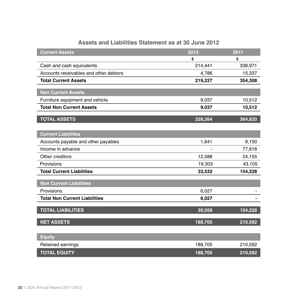| Assets and Liabilities Statement as at 30 June 2012 |
|-----------------------------------------------------|
|-----------------------------------------------------|

| <b>Current Assets</b>                  | 2012    | 2011    |
|----------------------------------------|---------|---------|
|                                        | \$      | \$      |
| Cash and cash equivalents              | 214,441 | 338,971 |
| Accounts receivables and other debtors | 4,786   | 15,337  |
| <b>Total Current Assets</b>            | 219,227 | 354,308 |
| <b>Non Current Assets</b>              |         |         |
| Furniture equipment and vehicle        | 9,037   | 10,512  |
| <b>Total Non Current Assets</b>        | 9,037   | 10,512  |
|                                        |         |         |
| <b>TOTAL ASSETS</b>                    | 228,264 | 364,820 |
|                                        |         |         |
| <b>Current Liabilities</b>             |         |         |
| Accounts payable and other payables    | 1,641   | 9,150   |
| Income in advance                      | -       | 77,818  |
| Other creditors                        | 12,588  | 24,155  |
| Provisions                             | 19,303  | 43,105  |
| <b>Total Current Liabilities</b>       | 33,532  | 154,228 |
| <b>Non Current Liabilities</b>         |         |         |
| Provisions                             | 6,027   |         |
| <b>Total Non Current Liabilities</b>   | 6,027   |         |
|                                        |         |         |
| <b>TOTAL LIABILITIES</b>               | 39,559  | 154,228 |
| <b>NET ASSETS</b>                      | 188,705 | 210,592 |
|                                        |         |         |
| <b>Equity</b>                          |         |         |
| Retained earnings                      | 188,705 | 210,592 |
| <b>TOTAL EQUITY</b>                    | 188,705 | 210,592 |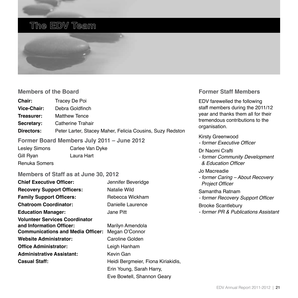### **The EDV Team**



#### **Members of the Board**

| <b>Chair:</b>                              | Tracey De Poi                                             |  |
|--------------------------------------------|-----------------------------------------------------------|--|
| Vice-Chair:                                | Debra Goldfinch                                           |  |
| Treasurer:                                 | <b>Matthew Tence</b>                                      |  |
| Secretary:                                 | Catherine Trahair                                         |  |
| Directors:                                 | Peter Larter, Stacey Maher, Felicia Cousins, Suzy Redston |  |
| Former Board Members July 2011 – June 2012 |                                                           |  |
| Loolou Cimono                              | Carloo Van Duko                                           |  |

Lesley Simons Carlee Van Dyke Gill Ryan Laura Hart Renuka Somers

#### **Members of Staff as at June 30, 2012**

| <b>Chief Executive Officer:</b>                                   | Jennifer Beveridge                 |
|-------------------------------------------------------------------|------------------------------------|
| <b>Recovery Support Officers:</b>                                 | Natalie Wild                       |
| <b>Family Support Officers:</b>                                   | Rebecca Wickham                    |
| <b>Chatroom Coordinator:</b>                                      | Danielle Laurence                  |
| <b>Education Manager:</b>                                         | Jane Pitt                          |
| <b>Volunteer Services Coordinator</b><br>and Information Officer: | Marilyn Amendola                   |
| <b>Communications and Media Officer:</b>                          | Megan O'Connor                     |
| <b>Website Administrator:</b>                                     | Caroline Golden                    |
| <b>Office Administrator:</b>                                      | Leigh Hanham                       |
| <b>Administrative Assistant:</b>                                  | Kevin Gan                          |
| <b>Casual Staff:</b>                                              | Heidi Bergmeier, Fiona Kiriakidis, |
|                                                                   | Erin Young, Sarah Harry,           |
|                                                                   | Eve Bowtell, Shannon Geary         |

#### **Former Staff Members**

EDV farewelled the following staff members during the 2011/12 year and thanks them all for their tremendous contributions to the organisation.

#### Kirsty Greenwood

- former Executive Officer

#### Dr Naomi Crafti

*- former Community Development*  & Education Officer

#### Jo Macreadie

*- former Caring – About Recovery*  Project Officer

#### Samantha Ratnam

- former Recovery Support Officer

#### Brooke Scantlebury

*- former PR & Publications Assistant*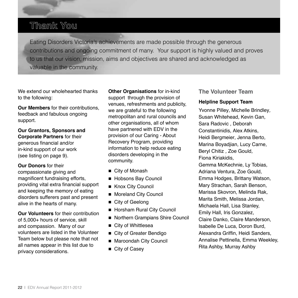### **Thank You**

Eating Disorders Victoria's achievements are made possible through the generous contributions and ongoing commitment of many. Your support is highly valued and proves to us that our vision, mission, aims and objectives are shared and acknowledged as valuable in the community.

We extend our wholehearted thanks to the following:

**Our Members** for their contributions, feedback and fabulous ongoing support.

**Our Grantors, Sponsors and Corporate Partners** for their generous financial and/or in-kind support of our work (see listing on page 9).

**Our Donors** for their compassionate giving and magnificent fundraising efforts, providing vital extra financial support and keeping the memory of eating disorders sufferers past and present alive in the hearts of many.

**Our Volunteers** for their contribution of 5,000+ hours of service, skill and compassion. Many of our volunteers are listed in the Volunteer Team below but please note that not all names appear in this list due to privacy considerations.

**Other Organisations** for in-kind support through the provision of venues, refreshments and publicity, we are grateful to the following metropolitan and rural councils and other organisations, all of whom have partnered with EDV in the provision of our Caring - About Recovery Program, providing information to help reduce eating disorders developing in the community.

- $\blacksquare$  City of Monash
- Hobsons Bay Council
- Knox City Council
- Moreland City Council
- City of Geelong
- Horsham Rural City Council
- Northern Grampians Shire Council
- City of Whittlesea
- City of Greater Bendigo
- Maroondah City Council
- City of Casey

#### **The Volunteer Team**

#### **Helpline Support Team**

Yvonne Pilley*,* Michelle Brindley*,*  Susan Whitehead*,* Kevin Gan*,*  Sara Radovic *,* Deborah Constantinidis*,* Alex Atkins*,*  Heidi Bergmeier*,* Jenna Berto*,*  Marina Boyadjian*,* Lucy Carne*,*  Beryl Chitiz *,* Zoe Gould*,*  Fiona Kiriakidis*,*  Gemma McKechnie*,* Ly Tobias*,*  Adriana Ventura*,* Zoe Gould*,*  Emma Hodges*,* Brittany Watson*,*  Mary Strachan*,* Sarah Benson*,*  Marissa Skovron*,* Melinda Rak*,*  Marita Smith, Melissa Jordan, Michaela Hall, Lisa Stanley, Emily Hall, Iris Gonzalez, Claire Danko, Claire Manderson, Isabelle De Luca, Doron Burd, Alexandra Griffin, Heidi Sanders, Annalise Pettinella, Emma Weekley, Rita Ashby, Murray Ashby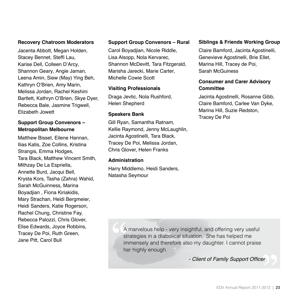#### **Recovery Chatroom Moderators**

Jacenta Abbott*,* Megan Holden*,*  Stacey Bennet*,* Steffi Lau*,*  Karise Dell*,* Colleen D'Arcy*,*  Shannon Geary*,* Angie Jaman*,*  Leena Amin*,* Siew (May) Ying Beh, Kathryn O'Brien*,* Amy Marin, Melissa Jordan, Rachel Keshini Bartlett, Kathryn O'Brien, Skye Dyer, Rebecca Bale, Jasmine Trigwell, Elizabeth Jowett

#### **Support Group Convenors – Metropolitan Melbourne**

Matthew Bisset*,* Eilene Hannan*,*  Ilias Katis*,* Zoe Collins*,* Kristina Strangis*,* Emma Hodges*,*  Tara Black*,* Matthew Vincent Smith*,*  Mithzay De La Espriella*,*  Annette Burd*,* Jacqui Bell*,*  Krysta Kors*,* Tasha (Zahra) Wahid*,*  Sarah McGuinness*,* Marina Boyadjian *,* Fiona Kiriakidis, Mary Strachan*,* Heidi Bergmeier*,*  Heidi Sanders*,* Katie Rogerson, Rachel Chung, Christine Fay, Rebecca Palozzi, Chris Glover, Elise Edwards, Joyce Robbins*,*  Tracey De Poi, Ruth Green, Jane Pitt, Carol Bull

#### **Support Group Convenors – Rural**

Carol Boyadjian*,* Nicole Riddle*,*  Lisa Alsopp*,* Nola Kervarec*,*  Shannon McDevitt*,* Tara Fitzgerald*,*  Marisha Jarecki*,* Marie Carter*,*  Michelle Cowie Scott

#### **Visiting Professionals**

Draga Jevtic*,* Nola Rushford*,*  Helen Shepherd

#### **Speakers Bank**

Gill Ryan*,* Samantha Ratnam*,*  Kellie Raymond*,* Jenny McLaughlin*,*  Jacinta Agostinelli*,* Tara Black*,*  Tracey De Poi, Melissa Jordan, Chris Glover, Helen Franks

#### **Administration**

Harry Middlemo*,* Heidi Sanders*,*  Natasha Seymour

#### **Siblings & Friends Working Group**

Claire Bamford*,* Jacinta Agostinelli*,*  Genevieve Agostinelli*,* Brie Ellet*,*  Marina Hill, Tracey de Poi, Sarah McGuiness

#### **Consumer and Carer Advisory Committee**

Jacinta Agostinelli, Rosanne Gibb, Claire Bamford, Carlee Van Dyke, Marina Hill, Suzie Redston, Tracey De Poi

A marvelous help - very insightful, and offering very useful strategies in a diabolical situation. She has helped me immensely and therefore also my daughter. I cannot praise her highly enough.

- Client of Family Support Officer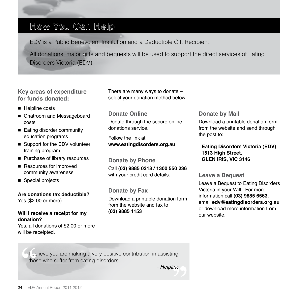### **How You Can Help**

EDV is a Public Benevolent Institution and a Deductible Gift Recipient.

All donations, major gifts and bequests will be used to support the direct services of Eating Disorders Victoria (EDV).

**Key areas of expenditure for funds donated:**

- $\blacksquare$  Helpline costs
- Chatroom and Messageboard costs
- Eating disorder community education programs
- Support for the EDV volunteer training program
- Purchase of library resources
- Resources for improved community awareness
- Special projects

**Are donations tax deductible?** Yes (\$2.00 or more).

#### **Will I receive a receipt for my donation?**

Yes, all donations of \$2.00 or more will be receipted.

There are many ways to donate – select your donation method below:

#### **Donate Online**

Donate through the secure online donations service.

Follow the link at **www.eatingdisorders.org.au**

**Donate by Phone** Call **(03) 9885 0318 / 1300 550 236** with your credit card details.

**Donate by Fax** Download a printable donation form from the website and fax to **(03) 9885 1153**

#### **Donate by Mail**

Download a printable donation form from the website and send through the post to:

**Eating Disorders Victoria (EDV) 1513 High Street, GLEN IRIS, VIC 3146**

**Leave a Bequest**

Leave a Bequest to Eating Disorders Victoria in your Will. For more information call **(03) 9885 6563**, email **edv@eatingdisorders.org.au** or download more information from our website.

believe you are making a very positive contribution in assisting those who suffer from eating disorders.

*- Helpline*